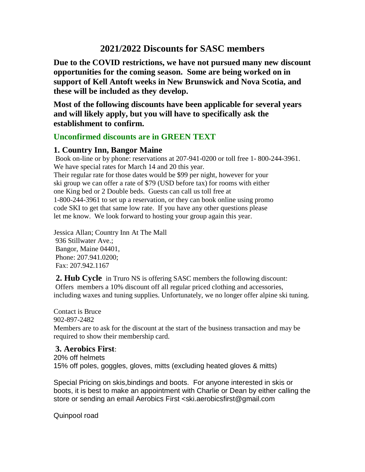# **2021/2022 Discounts for SASC members**

**Due to the COVID restrictions, we have not pursued many new discount opportunities for the coming season. Some are being worked on in support of Kell Antoft weeks in New Brunswick and Nova Scotia, and these will be included as they develop.**

**Most of the following discounts have been applicable for several years and will likely apply, but you will have to specifically ask the establishment to confirm.**

# **Unconfirmed discounts are in GREEN TEXT**

# **1. Country Inn, Bangor Maine**

Book on-line or by phone: reservations at 207-941-0200 or toll free 1- 800-244-3961. We have special rates for March 14 and 20 this year. Their regular rate for those dates would be \$99 per night, however for your ski group we can offer a rate of \$79 (USD before tax) for rooms with either one King bed or 2 Double beds. Guests can call us toll free at 1-800-244-3961 to set up a reservation, or they can book online using promo code SKI to get that same low rate. If you have any other questions please let me know. We look forward to hosting your group again this year.

Jessica Allan; Country Inn At The Mall 936 Stillwater Ave.; Bangor, Maine 04401, Phone: 207.941.0200; Fax: 207.942.1167

**2. Hub Cycle** in Truro NS is offering SASC members the following discount: Offers members a 10% discount off all regular priced clothing and accessories, including waxes and tuning supplies. Unfortunately, we no longer offer alpine ski tuning.

Contact is Bruce 902-897-2482

Members are to ask for the discount at the start of the business transaction and may be required to show their membership card.

# **3. Aerobics First**:

20% off helmets 15% off poles, goggles, gloves, mitts (excluding heated gloves & mitts)

Special Pricing on skis,bindings and boots. For anyone interested in skis or boots, it is best to make an appointment with Charlie or Dean by either calling the store or sending an email Aerobics First <ski.aerobicsfirst@gmail.com

Quinpool road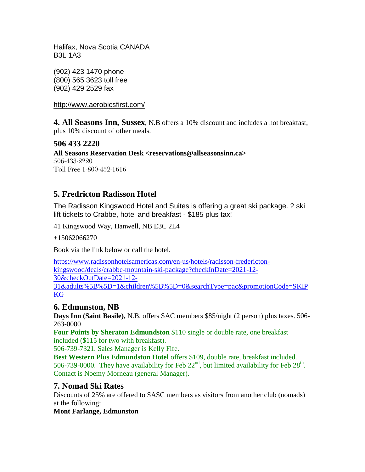Halifax, Nova Scotia CANADA B3L 1A3

(902) 423 1470 phone (800) 565 3623 toll free (902) 429 2529 fax

<http://www.aerobicsfirst.com/>

**4. All Seasons Inn, Sussex**, N.B offers a 10% discount and includes a hot breakfast, plus 10% discount of other meals.

# **506 433 2220**

**All Seasons Reservation Desk <reservations@allseasonsinn.ca>** 506-433-2220 Toll Free 1-800-452-1616

# **5. Fredricton Radisson Hotel**

The Radisson Kingswood Hotel and Suites is offering a great ski package. 2 ski lift tickets to Crabbe, hotel and breakfast - \$185 plus tax!

41 Kingswood Way, Hanwell, NB E3C 2L4

+15062066270

Book via the link below or call the hotel.

[https://www.radissonhotelsamericas.com/en-us/hotels/radisson-fredericton](https://www.radissonhotelsamericas.com/en-us/hotels/radisson-fredericton-kingswood/deals/crabbe-mountain-ski-package?checkInDate=2021-12-30&checkOutDate=2021-12-31&adults%5B%5D=1&children%5B%5D=0&searchType=pac&promotionCode=SKIPKG)[kingswood/deals/crabbe-mountain-ski-package?checkInDate=2021-12-](https://www.radissonhotelsamericas.com/en-us/hotels/radisson-fredericton-kingswood/deals/crabbe-mountain-ski-package?checkInDate=2021-12-30&checkOutDate=2021-12-31&adults%5B%5D=1&children%5B%5D=0&searchType=pac&promotionCode=SKIPKG) [30&checkOutDate=2021-12-](https://www.radissonhotelsamericas.com/en-us/hotels/radisson-fredericton-kingswood/deals/crabbe-mountain-ski-package?checkInDate=2021-12-30&checkOutDate=2021-12-31&adults%5B%5D=1&children%5B%5D=0&searchType=pac&promotionCode=SKIPKG) [31&adults%5B%5D=1&children%5B%5D=0&searchType=pac&promotionCode=SKIP](https://www.radissonhotelsamericas.com/en-us/hotels/radisson-fredericton-kingswood/deals/crabbe-mountain-ski-package?checkInDate=2021-12-30&checkOutDate=2021-12-31&adults%5B%5D=1&children%5B%5D=0&searchType=pac&promotionCode=SKIPKG) [KG](https://www.radissonhotelsamericas.com/en-us/hotels/radisson-fredericton-kingswood/deals/crabbe-mountain-ski-package?checkInDate=2021-12-30&checkOutDate=2021-12-31&adults%5B%5D=1&children%5B%5D=0&searchType=pac&promotionCode=SKIPKG)

## **6. Edmunston, NB**

**Days Inn (Saint Basile),** N.B. offers SAC members \$85/night (2 person) plus taxes. 506- 263-0000

**Four Points by Sheraton Edmundston** \$110 single or double rate, one breakfast included (\$115 for two with breakfast).

506-739-7321. Sales Manager is Kelly Fife.

**Best Western Plus Edmundston Hotel** offers \$109, double rate, breakfast included. 506-739-0000. They have availability for Feb  $22<sup>nd</sup>$ , but limited availability for Feb  $28<sup>th</sup>$ . Contact is Noemy Morneau (general Manager).

## **7. Nomad Ski Rates**

Discounts of 25% are offered to SASC members as visitors from another club (nomads) at the following:

#### **Mont Farlange, Edmunston**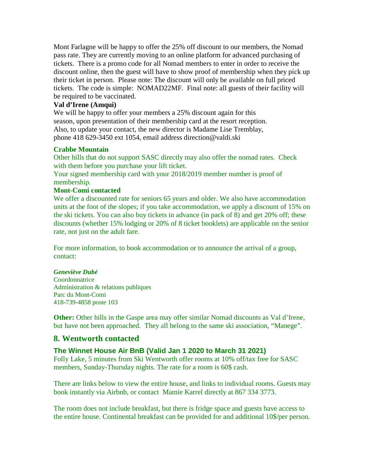Mont Farlagne will be happy to offer the 25% off discount to our members, the Nomad pass rate. They are currently moving to an online platform for advanced purchasing of tickets. There is a promo code for all Nomad members to enter in order to receive the discount online, then the guest will have to show proof of membership when they pick up their ticket in person. Please note: The discount will only be available on full priced tickets. The code is simple: NOMAD22MF. Final note: all guests of their facility will be required to be vaccinated.

#### **Val d'Irene (Amqui)**

We will be happy to offer your members a 25% discount again for this season, upon presentation of their membership card at the resort reception. Also, to update your contact, the new director is Madame Lise Tremblay, phone 418 629-3450 ext 1054, email address direction@valdi.ski

#### **Crabbe Mountain**

Other hills that do not support SASC directly may also offer the nomad rates. Check with them before you purchase your lift ticket.

Your signed membership card with your 2018/2019 member number is proof of membership.

#### **Mont-Comi contacted**

We offer a discounted rate for seniors 65 years and older. We also have accommodation units at the foot of the slopes; if you take accommodation, we apply a discount of 15% on the ski tickets. You can also buy tickets in advance (in pack of 8) and get 20% off; these discounts (whether 15% lodging or 20% of 8 ticket booklets) are applicable on the senior rate, not just on the adult fare.

For more information, to book accommodation or to announce the arrival of a group, contact:

#### *Geneviève Dubé*

**Coordonnatrice** Administration & relations publiques Parc du Mont-Comi 418-739-4858 poste 103

**Other:** Other hills in the Gaspe area may offer similar Nomad discounts as Val d'Irene, but have not been approached.They all belong to the same ski association, "Manege".

## **8. Wentworth contacted**

## **The Winnet House Air BnB (Valid Jan 1 2020 to March 31 2021)**

Folly Lake, 5 minutes from Ski Wentworth offer rooms at 10% off/tax free for SASC members, Sunday-Thursday nights. The rate for a room is 60\$ cash.

There are links below to view the entire house, and links to individual rooms. Guests may book instantly via Airbnb, or contact Mamie Karrel directly at 867 334 3773.

The room does not include breakfast, but there is fridge space and guests have access to the entire house. Continental breakfast can be provided for and additional 10\$/per person.